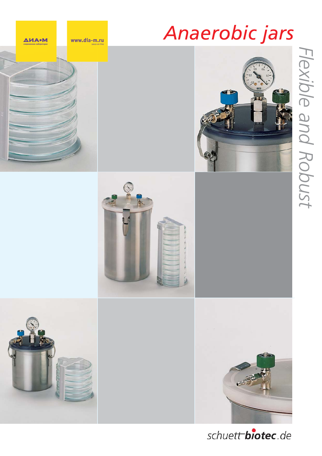## *Anaerobic jars*













schuett biotec.de